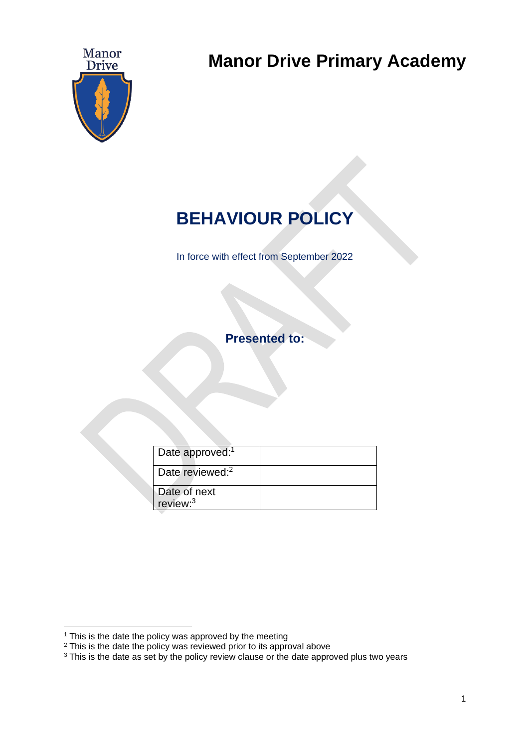

**Manor Drive Primary Academy**

# **BEHAVIOUR POLICY**

In force with effect from September 2022

**Presented to:** 

| Date approved: <sup>1</sup>          |  |
|--------------------------------------|--|
| Date reviewed: <sup>2</sup>          |  |
| Date of next<br>review: <sup>3</sup> |  |

<sup>&</sup>lt;sup>1</sup> This is the date the policy was approved by the meeting

<sup>&</sup>lt;sup>2</sup> This is the date the policy was reviewed prior to its approval above

<sup>&</sup>lt;sup>3</sup> This is the date as set by the policy review clause or the date approved plus two years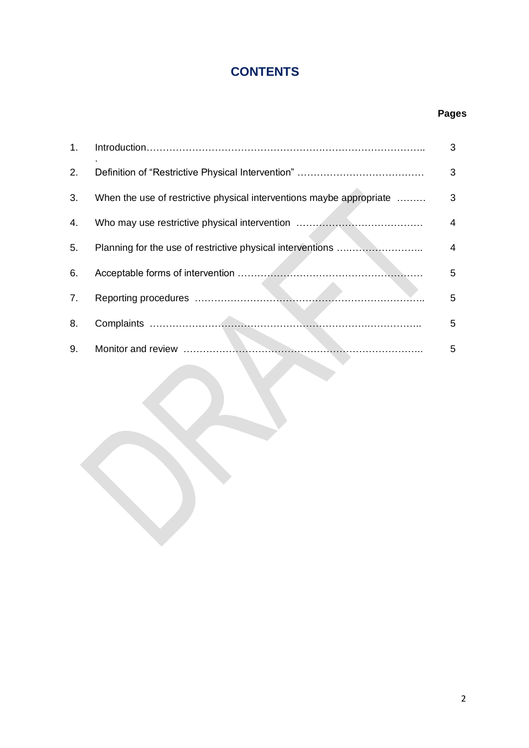# **CONTENTS**

## **Pages**

| 1. |                                                                      | 3 |
|----|----------------------------------------------------------------------|---|
| 2. |                                                                      | 3 |
| 3. | When the use of restrictive physical interventions maybe appropriate | 3 |
| 4. |                                                                      | 4 |
| 5. |                                                                      | 4 |
| 6. |                                                                      | 5 |
| 7. |                                                                      | 5 |
| 8. |                                                                      | 5 |
| 9. |                                                                      | 5 |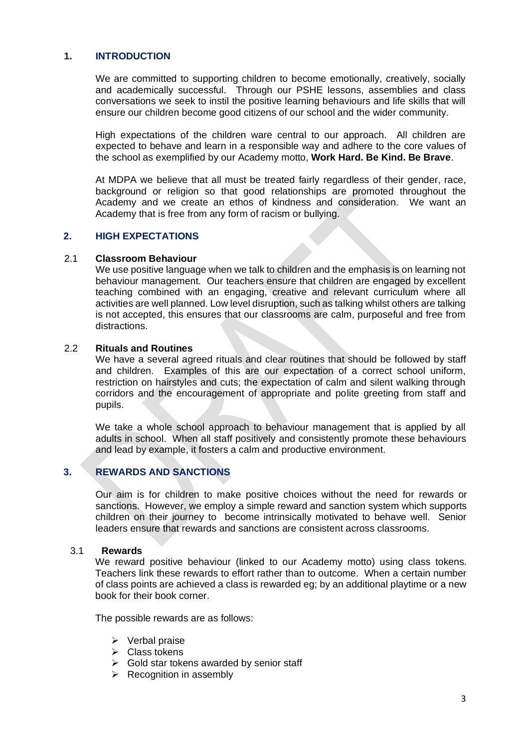#### **1. INTRODUCTION**

We are committed to supporting children to become emotionally, creatively, socially and academically successful. Through our PSHE lessons, assemblies and class conversations we seek to instil the positive learning behaviours and life skills that will ensure our children become good citizens of our school and the wider community.

High expectations of the children ware central to our approach. All children are expected to behave and learn in a responsible way and adhere to the core values of the school as exemplified by our Academy motto, **Work Hard. Be Kind. Be Brave**.

At MDPA we believe that all must be treated fairly regardless of their gender, race, background or religion so that good relationships are promoted throughout the Academy and we create an ethos of kindness and consideration. We want an Academy that is free from any form of racism or bullying.

#### **2. HIGH EXPECTATIONS**

#### 2.1 **Classroom Behaviour**

We use positive language when we talk to children and the emphasis is on learning not behaviour management. Our teachers ensure that children are engaged by excellent teaching combined with an engaging, creative and relevant curriculum where all activities are well planned. Low level disruption, such as talking whilst others are talking is not accepted, this ensures that our classrooms are calm, purposeful and free from distractions.

#### 2.2 **Rituals and Routines**

We have a several agreed rituals and clear routines that should be followed by staff and children. Examples of this are our expectation of a correct school uniform, restriction on hairstyles and cuts; the expectation of calm and silent walking through corridors and the encouragement of appropriate and polite greeting from staff and pupils.

We take a whole school approach to behaviour management that is applied by all adults in school. When all staff positively and consistently promote these behaviours and lead by example, it fosters a calm and productive environment.

#### **3. REWARDS AND SANCTIONS**

Our aim is for children to make positive choices without the need for rewards or sanctions. However, we employ a simple reward and sanction system which supports children on their journey to become intrinsically motivated to behave well. Senior leaders ensure that rewards and sanctions are consistent across classrooms.

#### 3.1 **Rewards**

We reward positive behaviour (linked to our Academy motto) using class tokens. Teachers link these rewards to effort rather than to outcome. When a certain number of class points are achieved a class is rewarded eg; by an additional playtime or a new book for their book corner.

The possible rewards are as follows:

- ➢ Verbal praise
- $\triangleright$  Class tokens
- $\triangleright$  Gold star tokens awarded by senior staff
- $\triangleright$  Recognition in assembly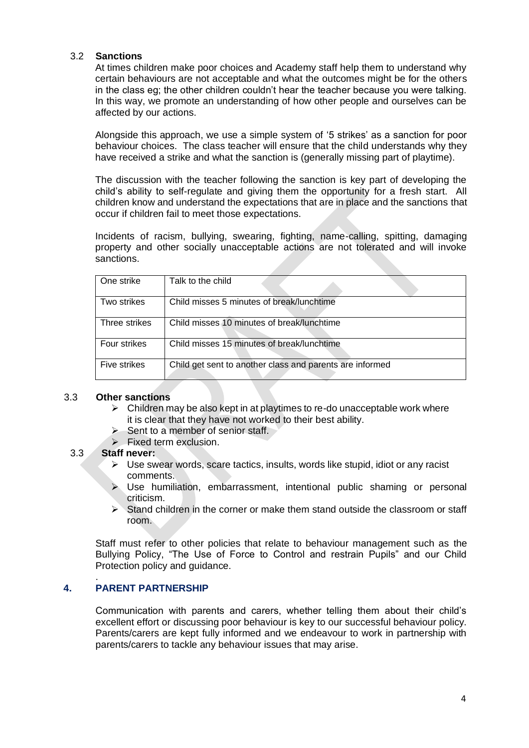#### 3.2 **Sanctions**

At times children make poor choices and Academy staff help them to understand why certain behaviours are not acceptable and what the outcomes might be for the others in the class eg; the other children couldn't hear the teacher because you were talking. In this way, we promote an understanding of how other people and ourselves can be affected by our actions.

Alongside this approach, we use a simple system of '5 strikes' as a sanction for poor behaviour choices. The class teacher will ensure that the child understands why they have received a strike and what the sanction is (generally missing part of playtime).

The discussion with the teacher following the sanction is key part of developing the child's ability to self-regulate and giving them the opportunity for a fresh start. All children know and understand the expectations that are in place and the sanctions that occur if children fail to meet those expectations.

Incidents of racism, bullying, swearing, fighting, name-calling, spitting, damaging property and other socially unacceptable actions are not tolerated and will invoke sanctions.

| One strike    | Talk to the child                                        |
|---------------|----------------------------------------------------------|
| Two strikes   | Child misses 5 minutes of break/lunchtime                |
| Three strikes | Child misses 10 minutes of break/lunchtime               |
| Four strikes  | Child misses 15 minutes of break/lunchtime               |
| Five strikes  | Child get sent to another class and parents are informed |

#### 3.3 **Other sanctions**

- $\triangleright$  Children may be also kept in at playtimes to re-do unacceptable work where it is clear that they have not worked to their best ability.
- ➢ Sent to a member of senior staff.
- ➢ Fixed term exclusion.

#### 3.3 **Staff never:**

- $\triangleright$  Use swear words, scare tactics, insults, words like stupid, idiot or any racist comments.
- $\triangleright$  Use humiliation, embarrassment, intentional public shaming or personal criticism.
- $\triangleright$  Stand children in the corner or make them stand outside the classroom or staff room.

Staff must refer to other policies that relate to behaviour management such as the Bullying Policy, "The Use of Force to Control and restrain Pupils" and our Child Protection policy and guidance.

#### . **4. PARENT PARTNERSHIP**

Communication with parents and carers, whether telling them about their child's excellent effort or discussing poor behaviour is key to our successful behaviour policy. Parents/carers are kept fully informed and we endeavour to work in partnership with parents/carers to tackle any behaviour issues that may arise.